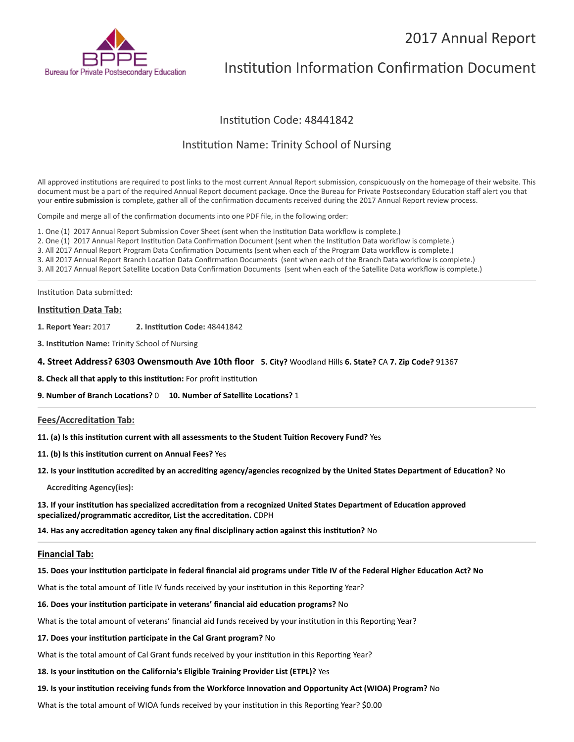## 2017 Annual Report



# Institution Information Confirmation Document

## Institution Code: 48441842

## Institution Name: Trinity School of Nursing

All approved institutions are required to post links to the most current Annual Report submission, conspicuously on the homepage of their website. This document must be a part of the required Annual Report document package. Once the Bureau for Private Postsecondary Education staff alert you that your entire submission is complete, gather all of the confirmation documents received during the 2017 Annual Report review process.

Compile and merge all of the confirmation documents into one PDF file, in the following order:

- 1. One (1) 2017 Annual Report Submission Cover Sheet (sent when the Institution Data workflow is complete.)
- 2. One (1) 2017 Annual Report Institution Data Confirmation Document (sent when the Institution Data workflow is complete.)

3. All 2017 Annual Report Program Data Confirmation Documents (sent when each of the Program Data workflow is complete.)

3. All 2017 Annual Report Branch Location Data Confirmation Documents (sent when each of the Branch Data workflow is complete.)

3. All 2017 Annual Report Satellite Location Data Confirmation Documents (sent when each of the Satellite Data workflow is complete.)

Institution Data submitted:

#### **Institution Data Tab:**

**1. Report Year:** 2017 **2. Instuon Code:** 48441842

- **3. Institution Name:** Trinity School of Nursing
- **4. Street Address? 6303 Owensmouth Ave 10th floor 5. City?** Woodland Hills **6. State?** CA **7. Zip Code?** 91367
- **8. Check all that apply to this institution:** For profit institution
- **9. Number of Branch Locations?** 0 **10. Number of Satellite Locations?** 1

#### **Fees/Accreditation Tab:**

11. (a) Is this institution current with all assessments to the Student Tuition Recovery Fund? Yes

- 11. (b) Is this institution current on Annual Fees? Yes
- 12. Is your institution accredited by an accrediting agency/agencies recognized by the United States Department of Education? No

**Accrediting Agency(ies):** 

13. If your institution has specialized accreditation from a recognized United States Department of Education approved specialized/programmatic accreditor, List the accreditation. CDPH

**14. Has any accreditation agency taken any final disciplinary action against this institution?** No

#### **Financial Tab:**

#### 15. Does your institution participate in federal financial aid programs under Title IV of the Federal Higher Education Act? No

What is the total amount of Title IV funds received by your institution in this Reporting Year?

#### **16. Does your institution participate in veterans' financial aid education programs?** No

What is the total amount of veterans' financial aid funds received by your institution in this Reporting Year?

#### 17. Does your institution participate in the Cal Grant program? No

What is the total amount of Cal Grant funds received by your institution in this Reporting Year?

#### 18. Is your institution on the California's Eligible Training Provider List (ETPL)? Yes

#### 19. Is your institution receiving funds from the Workforce Innovation and Opportunity Act (WIOA) Program? No

What is the total amount of WIOA funds received by your institution in this Reporting Year? \$0.00